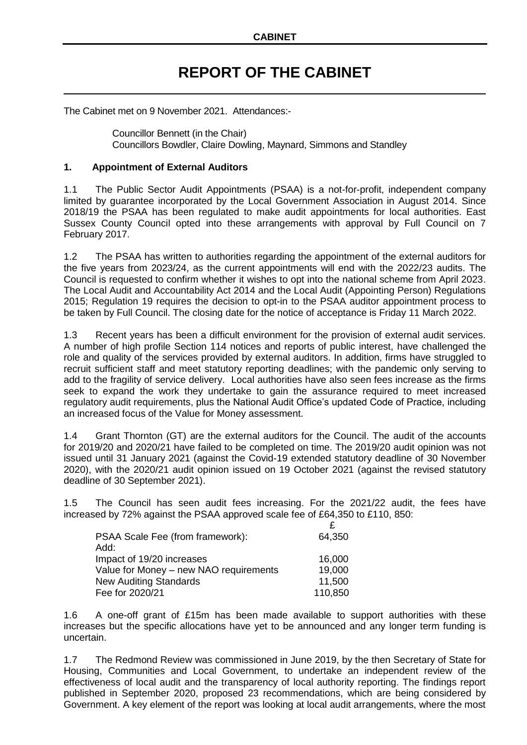## **REPORT OF THE CABINET**

The Cabinet met on 9 November 2021. Attendances:-

Councillor Bennett (in the Chair) Councillors Bowdler, Claire Dowling, Maynard, Simmons and Standley

## **1. Appointment of External Auditors**

1.1 The Public Sector Audit Appointments (PSAA) is a not-for-profit, independent company limited by guarantee incorporated by the Local Government Association in August 2014. Since 2018/19 the PSAA has been regulated to make audit appointments for local authorities. East Sussex County Council opted into these arrangements with approval by Full Council on 7 February 2017.

1.2 The PSAA has written to authorities regarding the appointment of the external auditors for the five years from 2023/24, as the current appointments will end with the 2022/23 audits. The Council is requested to confirm whether it wishes to opt into the national scheme from April 2023. The Local Audit and Accountability Act 2014 and the Local Audit (Appointing Person) Regulations 2015; Regulation 19 requires the decision to opt-in to the PSAA auditor appointment process to be taken by Full Council. The closing date for the notice of acceptance is Friday 11 March 2022.

1.3 Recent years has been a difficult environment for the provision of external audit services. A number of high profile Section 114 notices and reports of public interest, have challenged the role and quality of the services provided by external auditors. In addition, firms have struggled to recruit sufficient staff and meet statutory reporting deadlines; with the pandemic only serving to add to the fragility of service delivery. Local authorities have also seen fees increase as the firms seek to expand the work they undertake to gain the assurance required to meet increased regulatory audit requirements, plus the National Audit Office's updated Code of Practice, including an increased focus of the Value for Money assessment.

1.4 Grant Thornton (GT) are the external auditors for the Council. The audit of the accounts for 2019/20 and 2020/21 have failed to be completed on time. The 2019/20 audit opinion was not issued until 31 January 2021 (against the Covid-19 extended statutory deadline of 30 November 2020), with the 2020/21 audit opinion issued on 19 October 2021 (against the revised statutory deadline of 30 September 2021).

1.5 The Council has seen audit fees increasing. For the 2021/22 audit, the fees have increased by 72% against the PSAA approved scale fee of £64,350 to £110, 850:

| PSAA Scale Fee (from framework):       | 64,350  |
|----------------------------------------|---------|
| Add:                                   |         |
| Impact of 19/20 increases              | 16,000  |
| Value for Money - new NAO requirements | 19,000  |
| <b>New Auditing Standards</b>          | 11,500  |
| Fee for 2020/21                        | 110,850 |

1.6 A one-off grant of £15m has been made available to support authorities with these increases but the specific allocations have yet to be announced and any longer term funding is uncertain.

1.7 The Redmond Review was commissioned in June 2019, by the then Secretary of State for Housing, Communities and Local Government, to undertake an independent review of the effectiveness of local audit and the transparency of local authority reporting. The findings report published in September 2020, proposed 23 recommendations, which are being considered by Government. A key element of the report was looking at local audit arrangements, where the most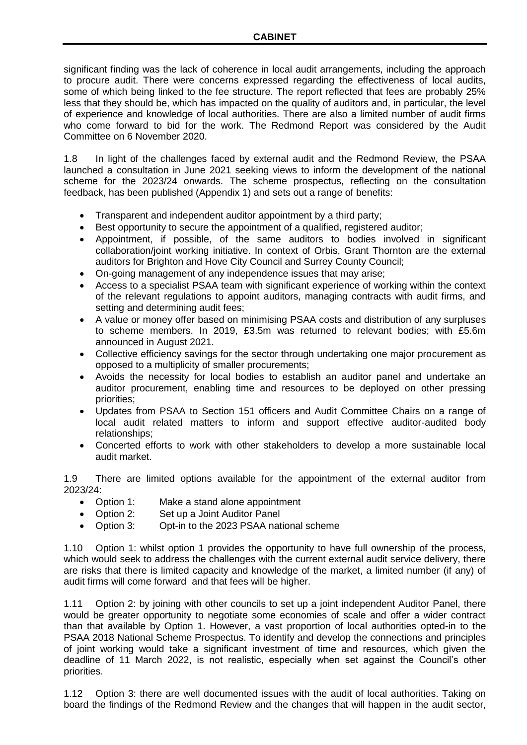significant finding was the lack of coherence in local audit arrangements, including the approach to procure audit. There were concerns expressed regarding the effectiveness of local audits, some of which being linked to the fee structure. The report reflected that fees are probably 25% less that they should be, which has impacted on the quality of auditors and, in particular, the level of experience and knowledge of local authorities. There are also a limited number of audit firms who come forward to bid for the work. The Redmond Report was considered by the Audit Committee on 6 November 2020.

1.8 In light of the challenges faced by external audit and the Redmond Review, the PSAA launched a consultation in June 2021 seeking views to inform the development of the national scheme for the 2023/24 onwards. The scheme prospectus, reflecting on the consultation feedback, has been published (Appendix 1) and sets out a range of benefits:

- Transparent and independent auditor appointment by a third party;
- Best opportunity to secure the appointment of a qualified, registered auditor;
- Appointment, if possible, of the same auditors to bodies involved in significant collaboration/joint working initiative. In context of Orbis, Grant Thornton are the external auditors for Brighton and Hove City Council and Surrey County Council;
- On-going management of any independence issues that may arise;
- Access to a specialist PSAA team with significant experience of working within the context of the relevant regulations to appoint auditors, managing contracts with audit firms, and setting and determining audit fees;
- A value or money offer based on minimising PSAA costs and distribution of any surpluses to scheme members. In 2019, £3.5m was returned to relevant bodies; with £5.6m announced in August 2021.
- Collective efficiency savings for the sector through undertaking one major procurement as opposed to a multiplicity of smaller procurements;
- Avoids the necessity for local bodies to establish an auditor panel and undertake an auditor procurement, enabling time and resources to be deployed on other pressing priorities;
- Updates from PSAA to Section 151 officers and Audit Committee Chairs on a range of local audit related matters to inform and support effective auditor-audited body relationships;
- Concerted efforts to work with other stakeholders to develop a more sustainable local audit market.

1.9 There are limited options available for the appointment of the external auditor from 2023/24:

- Option 1: Make a stand alone appointment
- Option 2: Set up a Joint Auditor Panel
- Option 3: Opt-in to the 2023 PSAA national scheme

1.10 Option 1: whilst option 1 provides the opportunity to have full ownership of the process, which would seek to address the challenges with the current external audit service delivery, there are risks that there is limited capacity and knowledge of the market, a limited number (if any) of audit firms will come forward and that fees will be higher.

1.11 Option 2: by joining with other councils to set up a joint independent Auditor Panel, there would be greater opportunity to negotiate some economies of scale and offer a wider contract than that available by Option 1. However, a vast proportion of local authorities opted-in to the PSAA 2018 National Scheme Prospectus. To identify and develop the connections and principles of joint working would take a significant investment of time and resources, which given the deadline of 11 March 2022, is not realistic, especially when set against the Council's other priorities.

1.12 Option 3: there are well documented issues with the audit of local authorities. Taking on board the findings of the Redmond Review and the changes that will happen in the audit sector,